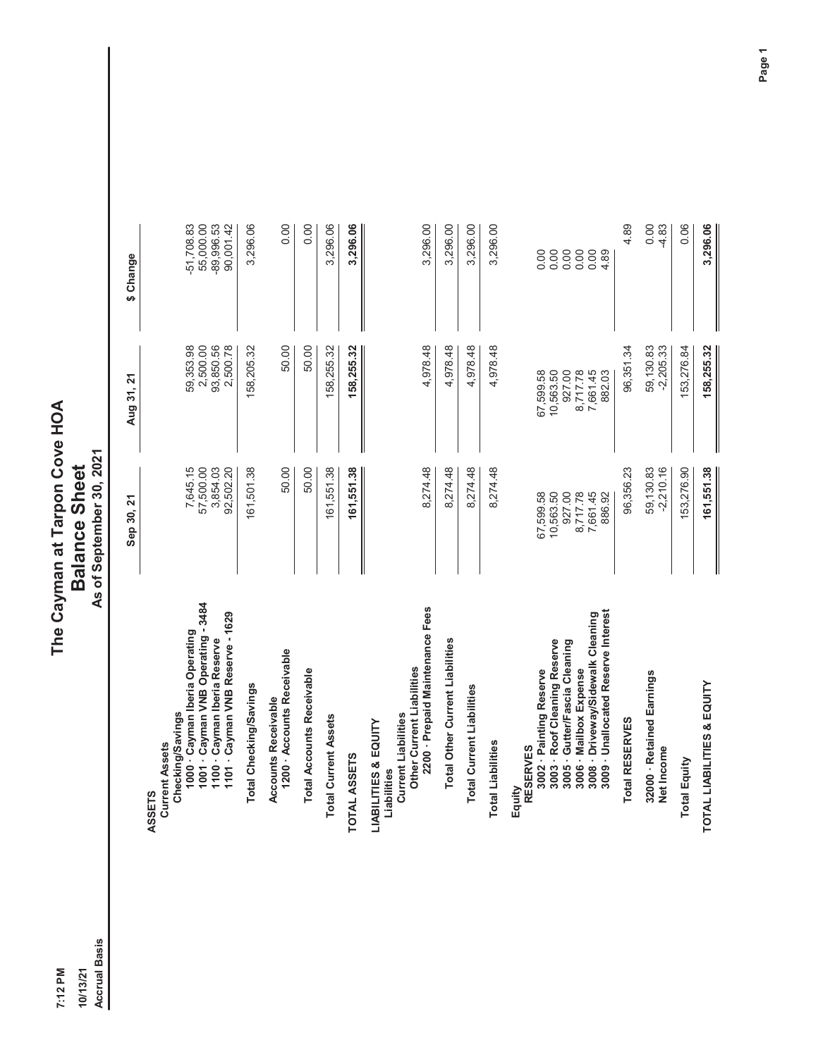10/13/21<br>Accrual Basis 7:12 PM

## The Cayman at Tarpon Cove HOA<br>Balance Sheet<br>As of September 30, 2021 **7:12 PM The Cayman at Tarpon Cove HOA 10/13/21 Balance Sheet**

**Accrual Basis As of September 30, 2021**

|                                                                                                                                                                                                                             | Sep 30, 21                                                         | Aug 31, 21                                                         | \$ Change                                    |
|-----------------------------------------------------------------------------------------------------------------------------------------------------------------------------------------------------------------------------|--------------------------------------------------------------------|--------------------------------------------------------------------|----------------------------------------------|
| ASSETS<br>Current Assets                                                                                                                                                                                                    |                                                                    |                                                                    |                                              |
| 1000 - Cayman Iberia Operating<br>Checking/Savings                                                                                                                                                                          | 7,645.15                                                           | 59,353.98                                                          | $-51,708.83$                                 |
| 1001 - Cayman VNB Operating - 3484                                                                                                                                                                                          | 57,500.00                                                          | 2,500.00                                                           | 55,000.00                                    |
| 1101 - Cayman VNB Reserve - 1629<br>1100 - Cayman Iberia Reserve                                                                                                                                                            | 3,854.03<br>92,502.20                                              | 93,850.56<br>2,500.78                                              | -89,996.53<br>90,001.42                      |
| Total Checking/Savings                                                                                                                                                                                                      | 161,501.38                                                         | 158,205.32                                                         | 3,296.06                                     |
| 1200 - Accounts Receivable<br>Accounts Receivable                                                                                                                                                                           | 50.00                                                              | 50.00                                                              | 0.00                                         |
| <b>Total Accounts Receivable</b>                                                                                                                                                                                            | 50.00                                                              | 50.00                                                              | 0.00                                         |
| otal Current Assets                                                                                                                                                                                                         | 161,551.38                                                         | 158,255.32                                                         | 3,296.06                                     |
| AL ASSETS<br><b>TOT</b>                                                                                                                                                                                                     | 161,551.38                                                         | 158,255.32                                                         | 3,296.06                                     |
| 2200 - Prepaid Maintenance Fees<br>Other Current Liabilities<br><b>Current Liabilities</b><br>LIABILITIES & EQUITY<br>Liabilities                                                                                           | 8,274.48                                                           | 4,978.48                                                           | 3,296.00                                     |
| <b>Total Other Current Liabilities</b>                                                                                                                                                                                      | 8,274.48                                                           | 4,978.48                                                           | 3,296.00                                     |
| <b>Total Current Liabilities</b>                                                                                                                                                                                            | 8,274.48                                                           | 4,978.48                                                           | 3,296.00                                     |
| otal Liabilities                                                                                                                                                                                                            | 8,274.48                                                           | 4,978.48                                                           | 3,296.00                                     |
| 3009 - Unallocated Reserve Interest<br>3008 - Driveway/Sidewalk Cleaning<br>3003 · Roof Cleaning Reserve<br>3005 · Gutter/Fascia Cleaning<br>3002 - Painting Reserve<br>3006 - Mailbox Expense<br><b>RESERVES</b><br>Equity | 927.00<br>67,599.58<br>10,563.50<br>8,717.78<br>7,661.45<br>886.92 | 927.00<br>67,599.58<br>10,563.50<br>8,717.78<br>7,661.45<br>882.03 | 0.00<br>0.00<br>0.00<br>0.00<br>0.00<br>4.89 |
| Total RESERVES                                                                                                                                                                                                              | 96,356.23                                                          | 96,351.34                                                          | 4.89                                         |
| 32000 · Retained Earnings<br>Net Income                                                                                                                                                                                     | 59, 130.83<br>$-2,210.16$                                          | 59,130.83<br>$-2,205.33$                                           | 0.00<br>$-4.83$                              |
| otal Equity                                                                                                                                                                                                                 | 153,276.90                                                         | 153,276.84                                                         | 0.06                                         |
| TOTAL LIABILITIES & EQUITY                                                                                                                                                                                                  | 161,551.38                                                         | 158,255.32                                                         | 3,296.06                                     |